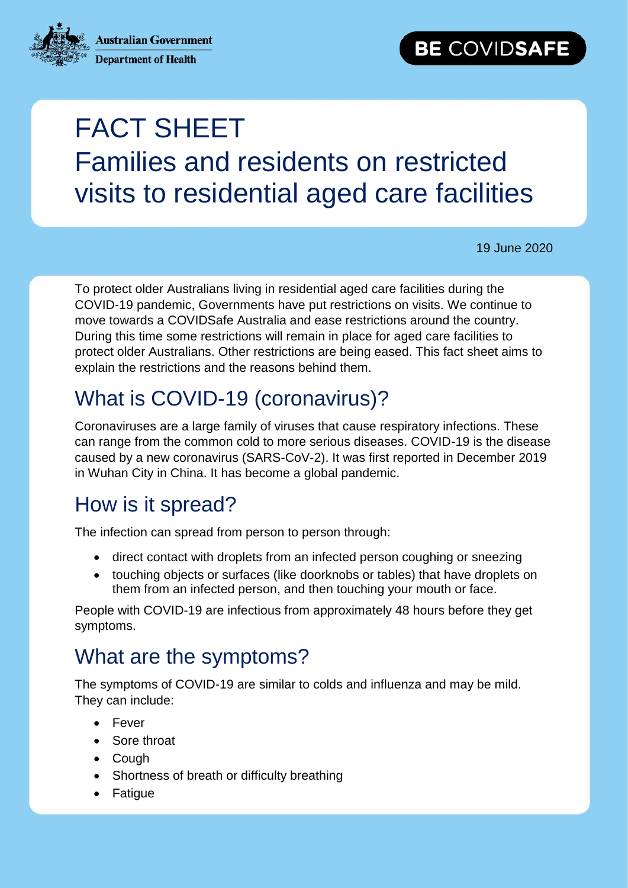**Australian Government** 



**Department of Health** 

# FACT SHEET Families and residents on restricted visits to residential aged care facilities

19 June 2020

To protect older Australians living in residential aged care facilities during the COVID-19 pandemic, Governments have put restrictions on visits. We continue to move towards a COVIDSafe Australia and ease restrictions around the country. During this time some restrictions will remain in place for aged care facilities to protect older Australians. Other restrictions are being eased. This fact sheet aims to explain the restrictions and the reasons behind them.

## What is COVID-19 (coronavirus)?

Coronaviruses are a large family of viruses that cause respiratory infections. These can range from the common cold to more serious diseases. COVID-19 is the disease caused by a new coronavirus (SARS-CoV-2). It was first reported in December 2019 in Wuhan City in China. It has become a global pandemic.

## How is it spread?

The infection can spread from person to person through:

- direct contact with droplets from an infected person coughing or sneezing
- touching objects or surfaces (like doorknobs or tables) that have droplets on them from an infected person, and then touching your mouth or face.

People with COVID-19 are infectious from approximately 48 hours before they get symptoms.

## What are the symptoms?

The symptoms of COVID-19 are similar to colds and influenza and may be mild. They can include:

- **•** Fever
- Sore throat
- Cough
- Shortness of breath or difficulty breathing
- Fatigue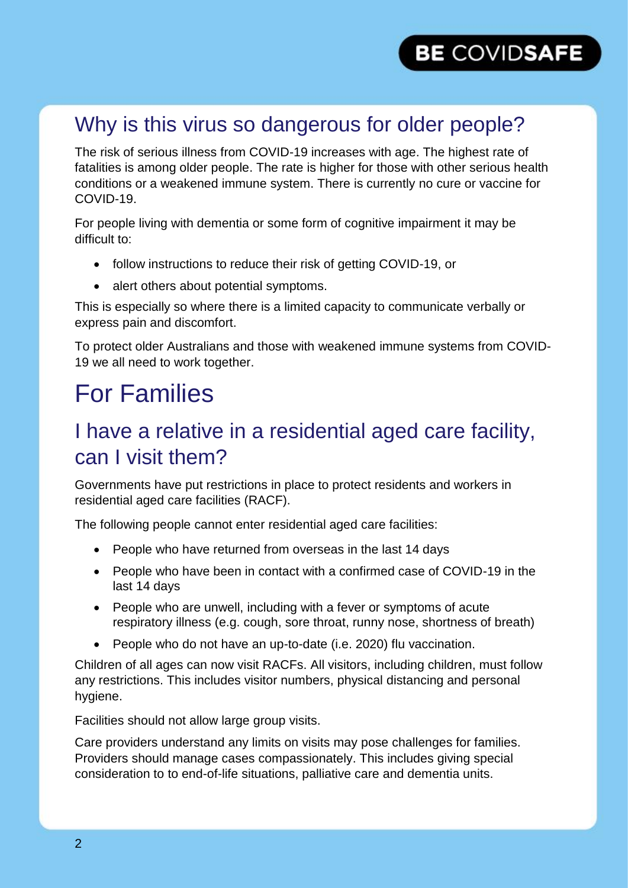## Why is this virus so dangerous for older people?

The risk of serious illness from COVID-19 increases with age. The highest rate of fatalities is among older people. The rate is higher for those with other serious health conditions or a weakened immune system. There is currently no cure or vaccine for COVID-19.

For people living with dementia or some form of cognitive impairment it may be difficult to:

- follow instructions to reduce their risk of getting COVID-19, or
- alert others about potential symptoms.

This is especially so where there is a limited capacity to communicate verbally or express pain and discomfort.

To protect older Australians and those with weakened immune systems from COVID-19 we all need to work together.

## For Families

#### I have a relative in a residential aged care facility, can I visit them?

Governments have put restrictions in place to protect residents and workers in residential aged care facilities (RACF).

The following people cannot enter residential aged care facilities:

- People who have returned from overseas in the last 14 days
- People who have been in contact with a confirmed case of COVID-19 in the last 14 days
- People who are unwell, including with a fever or symptoms of acute respiratory illness (e.g. cough, sore throat, runny nose, shortness of breath)
- People who do not have an up-to-date (i.e. 2020) flu vaccination.

Children of all ages can now visit RACFs. All visitors, including children, must follow any restrictions. This includes visitor numbers, physical distancing and personal hygiene.

Facilities should not allow large group visits.

Care providers understand any limits on visits may pose challenges for families. Providers should manage cases compassionately. This includes giving special consideration to to end-of-life situations, palliative care and dementia units.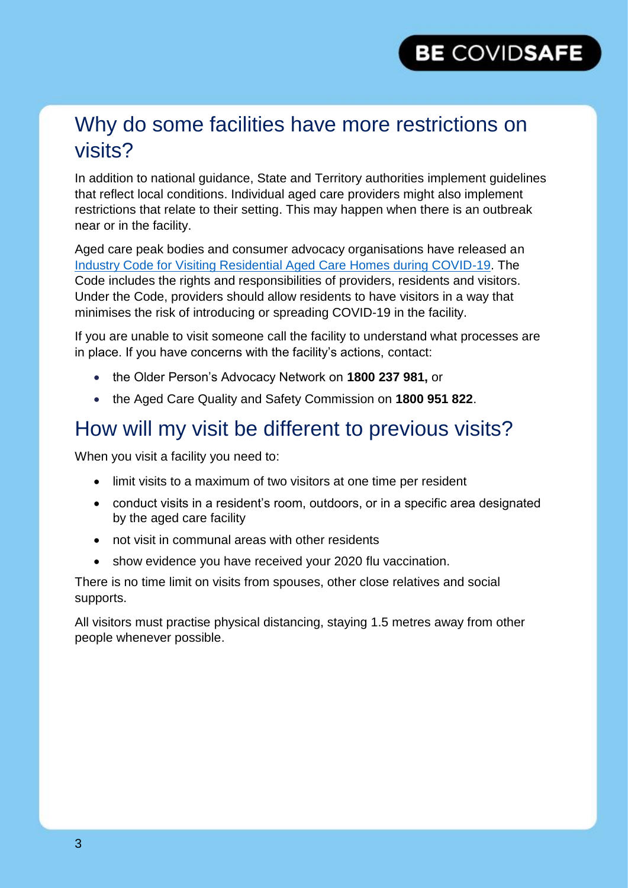#### Why do some facilities have more restrictions on visits?

In addition to national guidance, State and Territory authorities implement guidelines that reflect local conditions. Individual aged care providers might also implement restrictions that relate to their setting. This may happen when there is an outbreak near or in the facility.

Aged care peak bodies and consumer advocacy organisations have released an [Industry Code for Visiting Residential Aged Care Homes during COVID-19.](https://www.cota.org.au/policy/aged-care-reform/agedcarevisitors/) The Code includes the rights and responsibilities of providers, residents and visitors. Under the Code, providers should allow residents to have visitors in a way that minimises the risk of introducing or spreading COVID-19 in the facility.

If you are unable to visit someone call the facility to understand what processes are in place. If you have concerns with the facility's actions, contact:

- the Older Person's Advocacy Network on **1800 237 981,** or
- the Aged Care Quality and Safety Commission on **1800 951 822**.

#### How will my visit be different to previous visits?

When you visit a facility you need to:

- limit visits to a maximum of two visitors at one time per resident
- conduct visits in a resident's room, outdoors, or in a specific area designated by the aged care facility
- not visit in communal areas with other residents
- show evidence you have received your 2020 flu vaccination.

There is no time limit on visits from spouses, other close relatives and social supports.

All visitors must practise physical distancing, staying 1.5 metres away from other people whenever possible.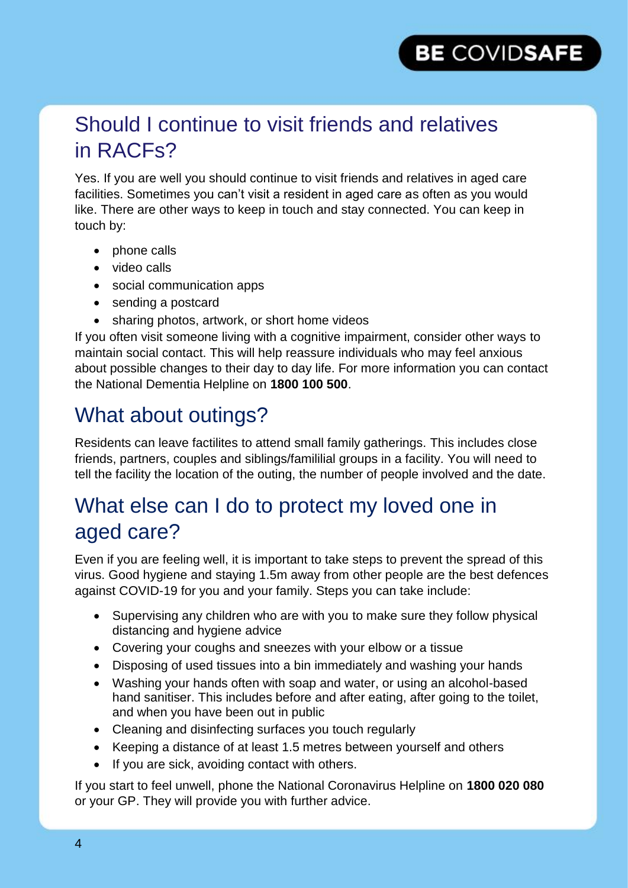#### Should I continue to visit friends and relatives in RACFs?

Yes. If you are well you should continue to visit friends and relatives in aged care facilities. Sometimes you can't visit a resident in aged care as often as you would like. There are other ways to keep in touch and stay connected. You can keep in touch by:

- phone calls
- video calls
- social communication apps
- sending a postcard
- sharing photos, artwork, or short home videos

If you often visit someone living with a cognitive impairment, consider other ways to maintain social contact. This will help reassure individuals who may feel anxious about possible changes to their day to day life. For more information you can contact the National Dementia Helpline on **1800 100 500**.

#### What about outings?

Residents can leave factilites to attend small family gatherings. This includes close friends, partners, couples and siblings/famililial groups in a facility. You will need to tell the facility the location of the outing, the number of people involved and the date.

### What else can I do to protect my loved one in aged care?

Even if you are feeling well, it is important to take steps to prevent the spread of this virus. Good hygiene and staying 1.5m away from other people are the best defences against COVID-19 for you and your family. Steps you can take include:

- Supervising any children who are with you to make sure they follow physical distancing and hygiene advice
- Covering your coughs and sneezes with your elbow or a tissue
- Disposing of used tissues into a bin immediately and washing your hands
- Washing your hands often with soap and water, or using an alcohol-based hand sanitiser. This includes before and after eating, after going to the toilet, and when you have been out in public
- Cleaning and disinfecting surfaces you touch regularly
- Keeping a distance of at least 1.5 metres between yourself and others
- If you are sick, avoiding contact with others.

If you start to feel unwell, phone the National Coronavirus Helpline on **1800 020 080**  or your GP. They will provide you with further advice.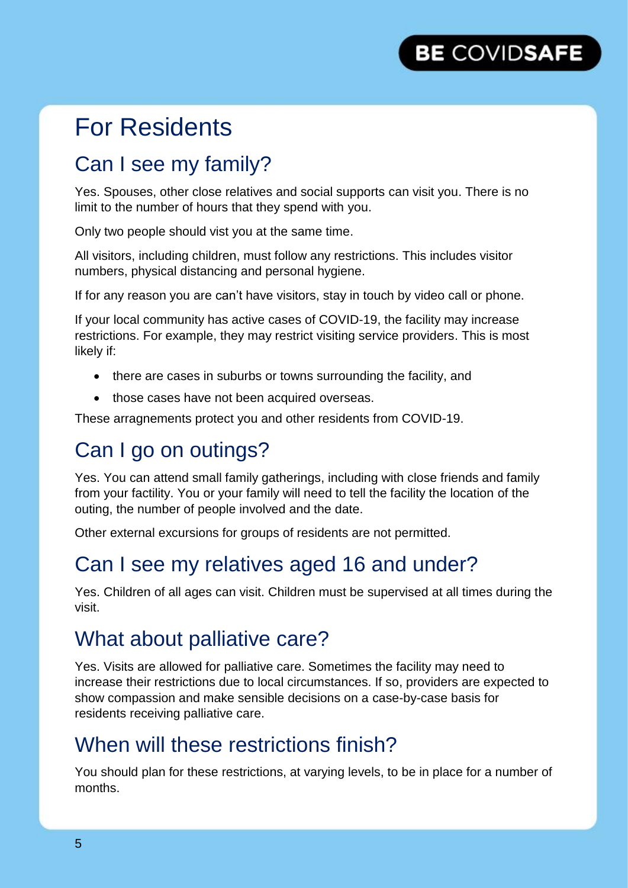## For Residents

### Can I see my family?

Yes. Spouses, other close relatives and social supports can visit you. There is no limit to the number of hours that they spend with you.

Only two people should vist you at the same time.

All visitors, including children, must follow any restrictions. This includes visitor numbers, physical distancing and personal hygiene.

If for any reason you are can't have visitors, stay in touch by video call or phone.

If your local community has active cases of COVID-19, the facility may increase restrictions. For example, they may restrict visiting service providers. This is most likely if:

- there are cases in suburbs or towns surrounding the facility, and
- those cases have not been acquired overseas.

These arragnements protect you and other residents from COVID-19.

#### Can I go on outings?

Yes. You can attend small family gatherings, including with close friends and family from your factility. You or your family will need to tell the facility the location of the outing, the number of people involved and the date.

Other external excursions for groups of residents are not permitted.

#### Can I see my relatives aged 16 and under?

Yes. Children of all ages can visit. Children must be supervised at all times during the visit.

#### What about palliative care?

Yes. Visits are allowed for palliative care. Sometimes the facility may need to increase their restrictions due to local circumstances. If so, providers are expected to show compassion and make sensible decisions on a case-by-case basis for residents receiving palliative care.

#### When will these restrictions finish?

You should plan for these restrictions, at varying levels, to be in place for a number of months.